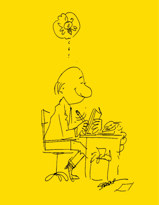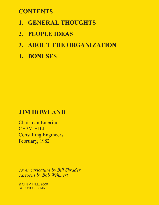#### **CONTENTS**

- **1. GENERAL THOUGHTS**
- **2. PEOPLE IDEAS**
- **3. ABOUT THE ORGANIZATION**
- **4. BONUSES**

#### **JIM HOWLAND**

Chairman Emeritus CH2M HILL Consulting Engineers February, 1982

*cover caricature by Bill Shrader cartoons by Bob Wehmert*

© CH2M HILL, 2009 CO022006003MKT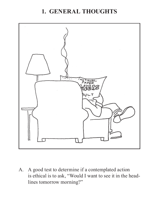### **1. GENERAL THOUGHTS**



A. A good test to determine if a contemplated action is ethical is to ask, "Would I want to see it in the headlines tomorrow morning?"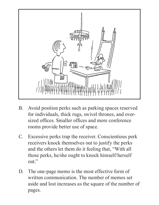

- B. Avoid position perks such as parking spaces reserved for individuals, thick rugs, swivel thrones, and oversized offices. Smaller offices and more conference rooms provide better use of space.
- C. Excessive perks trap the receiver. Conscientious perk receivers knock themselves out to justify the perks and the others let them do it feeling that, "With all those perks, he/she ought to knock himself/herself out"
- D. The one-page memo is the most effective form of written communication. The number of memos set aside and lost increases as the square of the number of pages.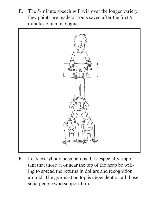E. The 5-minute speech will win over the longer variety. Few points are made or souls saved after the first 5 minutes of a monologue.



F. Let's everybody be generous. It is especially important that those at or near the top of the heap be willing to spread the returns in dollars and recognition around. The gymnast on top is dependent on all those solid people who support him.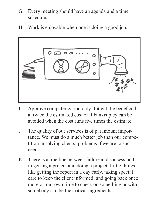- G. Every meeting should have an agenda and a time schedule.
- H. Work is enjoyable when one is doing a good job.



- I. Approve computerization only if it will be beneficial at twice the estimated cost or if bankruptcy can be avoided when the cost runs five times the estimate.
- J. The quality of our services is of paramount importance. We must do a much better job than our competition in solving clients' problems if we are to succeed.
- K. There is a fine line between failure and success both in getting a project and doing a project. Little things like getting the report in a day early, taking special care to keep the client informed, and going back once more on our own time to check on something or with somebody can be the critical ingredients.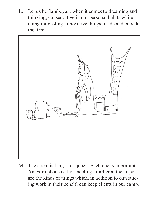L. Let us be flamboyant when it comes to dreaming and thinking; conservative in our personal habits while doing interesting, innovative things inside and outside the firm.



M. The client is king ... or queen. Each one is important. An extra phone call or meeting him/her at the airport are the kinds of things which, in addition to outstanding work in their behalf, can keep clients in our camp.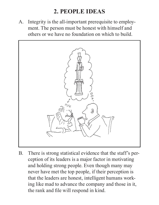## **2. PEOPLE IDEAS**

A. Integrity is the all-important prerequisite to employment. The person must be honest with himself and others or we have no foundation on which to build.



B. There is strong statistical evidence that the staff's perception of its leaders is a major factor in motivating and holding strong people. Even though many may never have met the top people, if their perception is that the leaders are honest, intelligent humans working like mad to advance the company and those in it, the rank and file will respond in kind.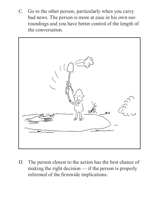C. Go to the other person, particularly when you carry bad news. The person is more at ease in his own surroundings and you have better control of the length of the conversation.



D. The person closest to the action has the best chance of making the right decision — if the person is properly informed of the firmwide implications.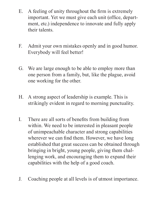- E. A feeling of unity throughout the firm is extremely important. Yet we must give each unit (office, department, etc.) independence to innovate and fully apply their talents.
- F. Admit your own mistakes openly and in good humor. Everybody will feel better!
- G. We are large enough to be able to employ more than one person from a family, but, like the plague, avoid one working for the other.
- H. A strong aspect of leadership is example. This is strikingly evident in regard to morning punctuality.
- I. There are all sorts of benefits from building from within. We need to be interested in pleasant people of unimpeachable character and strong capabilities wherever we can find them. However, we have long established that great success can be obtained through bringing in bright, young people, giving them challenging work, and encouraging them to expand their capabilities with the help of a good coach.
- J. Coaching people at all levels is of utmost importance.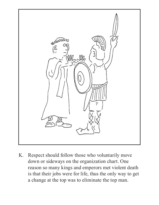

K. Respect should follow those who voluntarily move down or sideways on the organization chart. One reason so many kings and emperors met violent death is that their jobs were for life, thus the only way to get a change at the top was to eliminate the top man.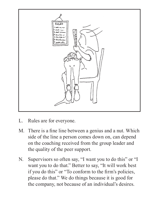

- L. Rules are for everyone.
- M. There is a fine line between a genius and a nut. Which side of the line a person comes down on, can depend on the coaching received from the group leader and the quality of the peer support.
- N. Supervisors so often say, "I want you to do this" or "I want you to do that." Better to say, "It will work best if you do this" or "To conform to the firm's policies, please do that." We do things because it is good for the company, not because of an individual's desires.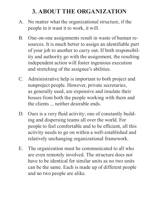# **3. ABOUT THE ORGANIZATION**

- A. No matter what the organizational structure, if the people in it want it to work, it will.
- B. One-on-one assignments result in waste of human resources. It is much better to assign an identifiable part of your job to another to carry out. If both responsibility and authority go with the assignment, the resulting independent action will foster ingenious execution and stretching of the assignee's abilities.
- C. Administrative help is important to both project and nonproject people. However, private secretaries, as generally used, are expensive and insulate their bosses from both the people working with them and the clients ... neither desirable ends.
- D. Ours is a very fluid activity; one of constantly building and dispersing teams all over the world. For people to feel comfortable and to be efficient, all this activity needs to go on within a well-established and relatively unchanging organizational framework.
- E. The organization must be communicated to all who are even remotely involved. The structure does not have to be identical for similar units as no two units can be the same. Each is made up of different people and no two people are alike.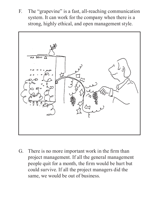F. The "grapevine" is a fast, all-reaching communication system. It can work for the company when there is a strong, highly ethical, and open management style.



G. There is no more important work in the firm than project management. If all the general management people quit for a month, the firm would be hurt but could survive. If all the project managers did the same, we would be out of business.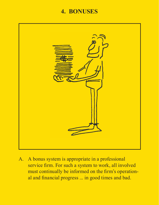### **4. BONUSES**



A. A bonus system is appropriate in a professional service firm. For such a system to work, all involved must continually be informed on the firm's operational and financial progress ... in good times and bad.